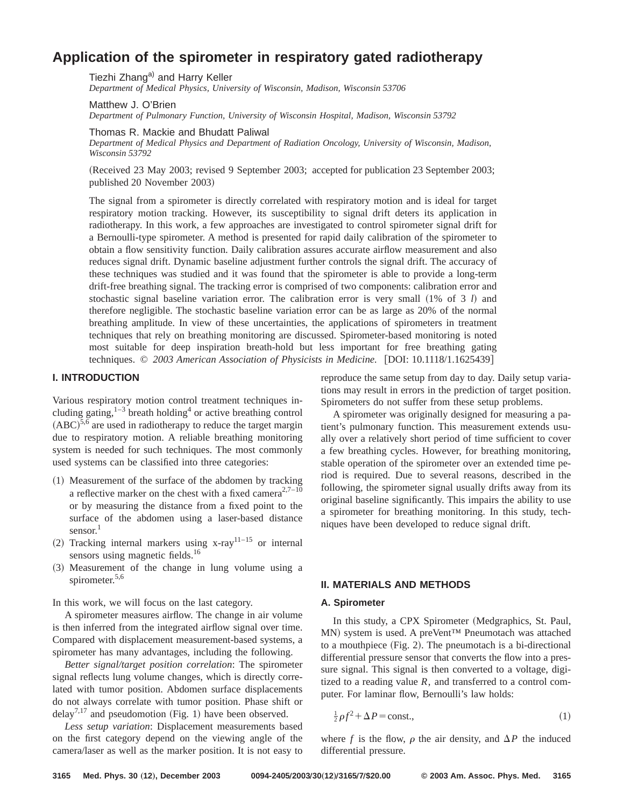# **Application of the spirometer in respiratory gated radiotherapy**

Tiezhi Zhang<sup>a)</sup> and Harry Keller

*Department of Medical Physics, University of Wisconsin, Madison, Wisconsin 53706*

Matthew J. O'Brien *Department of Pulmonary Function, University of Wisconsin Hospital, Madison, Wisconsin 53792*

Thomas R. Mackie and Bhudatt Paliwal

*Department of Medical Physics and Department of Radiation Oncology, University of Wisconsin, Madison, Wisconsin 53792*

(Received 23 May 2003; revised 9 September 2003; accepted for publication 23 September 2003; published 20 November 2003)

The signal from a spirometer is directly correlated with respiratory motion and is ideal for target respiratory motion tracking. However, its susceptibility to signal drift deters its application in radiotherapy. In this work, a few approaches are investigated to control spirometer signal drift for a Bernoulli-type spirometer. A method is presented for rapid daily calibration of the spirometer to obtain a flow sensitivity function. Daily calibration assures accurate airflow measurement and also reduces signal drift. Dynamic baseline adjustment further controls the signal drift. The accuracy of these techniques was studied and it was found that the spirometer is able to provide a long-term drift-free breathing signal. The tracking error is comprised of two components: calibration error and stochastic signal baseline variation error. The calibration error is very small  $(1\% \text{ of } 3 \text{ } l)$  and therefore negligible. The stochastic baseline variation error can be as large as 20% of the normal breathing amplitude. In view of these uncertainties, the applications of spirometers in treatment techniques that rely on breathing monitoring are discussed. Spirometer-based monitoring is noted most suitable for deep inspiration breath-hold but less important for free breathing gating techniques. © 2003 American Association of Physicists in Medicine. [DOI: 10.1118/1.1625439]

## **I. INTRODUCTION**

Various respiratory motion control treatment techniques including gating, $1-3$  breath holding<sup>4</sup> or active breathing control  $(ABC)^{5,6}$  are used in radiotherapy to reduce the target margin due to respiratory motion. A reliable breathing monitoring system is needed for such techniques. The most commonly used systems can be classified into three categories:

- $(1)$  Measurement of the surface of the abdomen by tracking a reflective marker on the chest with a fixed camera<sup>2,7–10</sup> or by measuring the distance from a fixed point to the surface of the abdomen using a laser-based distance sensor. $1$
- (2) Tracking internal markers using x-ray<sup>11–15</sup> or internal sensors using magnetic fields.<sup>16</sup>
- ~3! Measurement of the change in lung volume using a spirometer.<sup>5,6</sup>

In this work, we will focus on the last category.

A spirometer measures airflow. The change in air volume is then inferred from the integrated airflow signal over time. Compared with displacement measurement-based systems, a spirometer has many advantages, including the following.

*Better signal/target position correlation*: The spirometer signal reflects lung volume changes, which is directly correlated with tumor position. Abdomen surface displacements do not always correlate with tumor position. Phase shift or delay<sup>7,17</sup> and pseudomotion (Fig. 1) have been observed.

*Less setup variation*: Displacement measurements based on the first category depend on the viewing angle of the camera/laser as well as the marker position. It is not easy to

reproduce the same setup from day to day. Daily setup variations may result in errors in the prediction of target position. Spirometers do not suffer from these setup problems.

A spirometer was originally designed for measuring a patient's pulmonary function. This measurement extends usually over a relatively short period of time sufficient to cover a few breathing cycles. However, for breathing monitoring, stable operation of the spirometer over an extended time period is required. Due to several reasons, described in the following, the spirometer signal usually drifts away from its original baseline significantly. This impairs the ability to use a spirometer for breathing monitoring. In this study, techniques have been developed to reduce signal drift.

# **II. MATERIALS AND METHODS**

## **A. Spirometer**

In this study, a CPX Spirometer (Medgraphics, St. Paul, MN) system is used. A preVent™ Pneumotach was attached to a mouthpiece  $(Fig. 2)$ . The pneumotach is a bi-directional differential pressure sensor that converts the flow into a pressure signal. This signal is then converted to a voltage, digitized to a reading value  $R$ , and transferred to a control computer. For laminar flow, Bernoulli's law holds:

$$
\frac{1}{2}\rho f^2 + \Delta P = \text{const.},\tag{1}
$$

where *f* is the flow,  $\rho$  the air density, and  $\Delta P$  the induced differential pressure.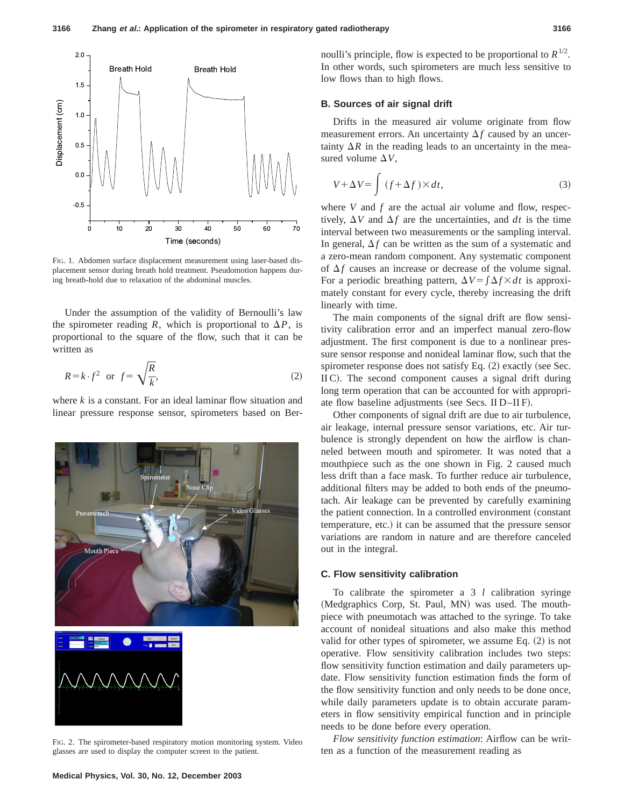

FIG. 1. Abdomen surface displacement measurement using laser-based displacement sensor during breath hold treatment. Pseudomotion happens during breath-hold due to relaxation of the abdominal muscles.

Under the assumption of the validity of Bernoulli's law the spirometer reading *R*, which is proportional to  $\Delta P$ , is proportional to the square of the flow, such that it can be written as

$$
R = k \cdot f^2 \quad \text{or} \quad f = \sqrt{\frac{R}{k}},\tag{2}
$$

where *k* is a constant. For an ideal laminar flow situation and linear pressure response sensor, spirometers based on Ber-



FIG. 2. The spirometer-based respiratory motion monitoring system. Video glasses are used to display the computer screen to the patient.

noulli's principle, flow is expected to be proportional to  $R^{1/2}$ . In other words, such spirometers are much less sensitive to low flows than to high flows.

#### **B. Sources of air signal drift**

Drifts in the measured air volume originate from flow measurement errors. An uncertainty  $\Delta f$  caused by an uncertainty  $\Delta R$  in the reading leads to an uncertainty in the measured volume  $\Delta V$ ,

$$
V + \Delta V = \int (f + \Delta f) \times dt,
$$
 (3)

where  $V$  and  $f$  are the actual air volume and flow, respectively,  $\Delta V$  and  $\Delta f$  are the uncertainties, and *dt* is the time interval between two measurements or the sampling interval. In general,  $\Delta f$  can be written as the sum of a systematic and a zero-mean random component. Any systematic component of  $\Delta f$  causes an increase or decrease of the volume signal. For a periodic breathing pattern,  $\Delta V = \int \Delta f \times dt$  is approximately constant for every cycle, thereby increasing the drift linearly with time.

The main components of the signal drift are flow sensitivity calibration error and an imperfect manual zero-flow adjustment. The first component is due to a nonlinear pressure sensor response and nonideal laminar flow, such that the spirometer response does not satisfy Eq.  $(2)$  exactly (see Sec.  $\rm{IIC}$ ). The second component causes a signal drift during long term operation that can be accounted for with appropriate flow baseline adjustments (see Secs. II D–II F).

Other components of signal drift are due to air turbulence, air leakage, internal pressure sensor variations, etc. Air turbulence is strongly dependent on how the airflow is channeled between mouth and spirometer. It was noted that a mouthpiece such as the one shown in Fig. 2 caused much less drift than a face mask. To further reduce air turbulence, additional filters may be added to both ends of the pneumotach. Air leakage can be prevented by carefully examining the patient connection. In a controlled environment (constant temperature, etc.) it can be assumed that the pressure sensor variations are random in nature and are therefore canceled out in the integral.

## **C. Flow sensitivity calibration**

To calibrate the spirometer a 3 *l* calibration syringe (Medgraphics Corp, St. Paul, MN) was used. The mouthpiece with pneumotach was attached to the syringe. To take account of nonideal situations and also make this method valid for other types of spirometer, we assume Eq.  $(2)$  is not operative. Flow sensitivity calibration includes two steps: flow sensitivity function estimation and daily parameters update. Flow sensitivity function estimation finds the form of the flow sensitivity function and only needs to be done once, while daily parameters update is to obtain accurate parameters in flow sensitivity empirical function and in principle needs to be done before every operation.

*Flow sensitivity function estimation*: Airflow can be written as a function of the measurement reading as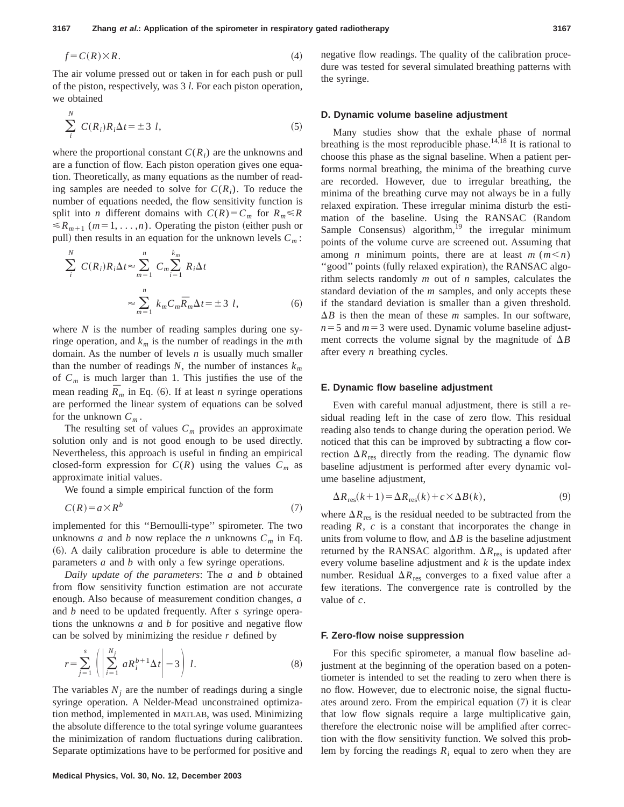$$
f = C(R) \times R. \tag{4}
$$

The air volume pressed out or taken in for each push or pull of the piston, respectively, was 3 *l*. For each piston operation, we obtained

*N*

$$
\sum_{i}^{N} C(R_i)R_i\Delta t = \pm 3 l,\tag{5}
$$

where the proportional constant  $C(R_i)$  are the unknowns and are a function of flow. Each piston operation gives one equation. Theoretically, as many equations as the number of reading samples are needed to solve for  $C(R_i)$ . To reduce the number of equations needed, the flow sensitivity function is split into *n* different domains with  $C(R) = C_m$  for  $R_m \le R$  $\le R_{m+1}$  (*m*=1, ...,*n*). Operating the piston (either push or pull) then results in an equation for the unknown levels  $C_m$ :

$$
\sum_{i}^{N} C(R_{i})R_{i}\Delta t \approx \sum_{m=1}^{n} C_{m} \sum_{i=1}^{k_{m}} R_{i}\Delta t
$$

$$
\approx \sum_{m=1}^{n} k_{m} C_{m} \overline{R}_{m} \Delta t = \pm 3 \quad l,
$$
 (6)

where *N* is the number of reading samples during one syringe operation, and  $k_m$  is the number of readings in the *m*th domain. As the number of levels *n* is usually much smaller than the number of readings  $N$ , the number of instances  $k_m$ of *Cm* is much larger than 1. This justifies the use of the mean reading  $\bar{R}_m$  in Eq. (6). If at least *n* syringe operations are performed the linear system of equations can be solved for the unknown  $C_m$ .

The resulting set of values  $C_m$  provides an approximate solution only and is not good enough to be used directly. Nevertheless, this approach is useful in finding an empirical closed-form expression for  $C(R)$  using the values  $C_m$  as approximate initial values.

We found a simple empirical function of the form

$$
C(R) = a \times R^b \tag{7}
$$

implemented for this ''Bernoulli-type'' spirometer. The two unknowns *a* and *b* now replace the *n* unknowns  $C_m$  in Eq. ~6!. A daily calibration procedure is able to determine the parameters *a* and *b* with only a few syringe operations.

*Daily update of the parameters*: The *a* and *b* obtained from flow sensitivity function estimation are not accurate enough. Also because of measurement condition changes, *a* and *b* need to be updated frequently. After *s* syringe operations the unknowns *a* and *b* for positive and negative flow can be solved by minimizing the residue *r* defined by

$$
r = \sum_{j=1}^{s} \left( \left| \sum_{i=1}^{N_j} a R_i^{b+1} \Delta t \right| - 3 \right) l. \tag{8}
$$

The variables  $N_i$  are the number of readings during a single syringe operation. A Nelder-Mead unconstrained optimization method, implemented in MATLAB, was used. Minimizing the absolute difference to the total syringe volume guarantees the minimization of random fluctuations during calibration. Separate optimizations have to be performed for positive and negative flow readings. The quality of the calibration procedure was tested for several simulated breathing patterns with the syringe.

#### **D. Dynamic volume baseline adjustment**

Many studies show that the exhale phase of normal breathing is the most reproducible phase.<sup>14,18</sup> It is rational to choose this phase as the signal baseline. When a patient performs normal breathing, the minima of the breathing curve are recorded. However, due to irregular breathing, the minima of the breathing curve may not always be in a fully relaxed expiration. These irregular minima disturb the estimation of the baseline. Using the RANSAC (Random Sample Consensus) algorithm, $^{19}$  the irregular minimum points of the volume curve are screened out. Assuming that among *n* minimum points, there are at least  $m$  ( $m < n$ ) "good" points (fully relaxed expiration), the RANSAC algorithm selects randomly *m* out of *n* samples, calculates the standard deviation of the *m* samples, and only accepts these if the standard deviation is smaller than a given threshold.  $\Delta B$  is then the mean of these *m* samples. In our software,  $n=5$  and  $m=3$  were used. Dynamic volume baseline adjustment corrects the volume signal by the magnitude of  $\Delta B$ after every *n* breathing cycles.

### **E. Dynamic flow baseline adjustment**

Even with careful manual adjustment, there is still a residual reading left in the case of zero flow. This residual reading also tends to change during the operation period. We noticed that this can be improved by subtracting a flow correction  $\Delta R_{res}$  directly from the reading. The dynamic flow baseline adjustment is performed after every dynamic volume baseline adjustment,

$$
\Delta R_{\rm res}(k+1) = \Delta R_{\rm res}(k) + c \times \Delta B(k),\tag{9}
$$

where  $\Delta R_{\text{res}}$  is the residual needed to be subtracted from the reading *R*, *c* is a constant that incorporates the change in units from volume to flow, and  $\Delta B$  is the baseline adjustment returned by the RANSAC algorithm.  $\Delta R_{res}$  is updated after every volume baseline adjustment and *k* is the update index number. Residual  $\Delta R_{\text{res}}$  converges to a fixed value after a few iterations. The convergence rate is controlled by the value of *c*.

#### **F. Zero-flow noise suppression**

For this specific spirometer, a manual flow baseline adjustment at the beginning of the operation based on a potentiometer is intended to set the reading to zero when there is no flow. However, due to electronic noise, the signal fluctuates around zero. From the empirical equation  $(7)$  it is clear that low flow signals require a large multiplicative gain, therefore the electronic noise will be amplified after correction with the flow sensitivity function. We solved this problem by forcing the readings  $R_i$  equal to zero when they are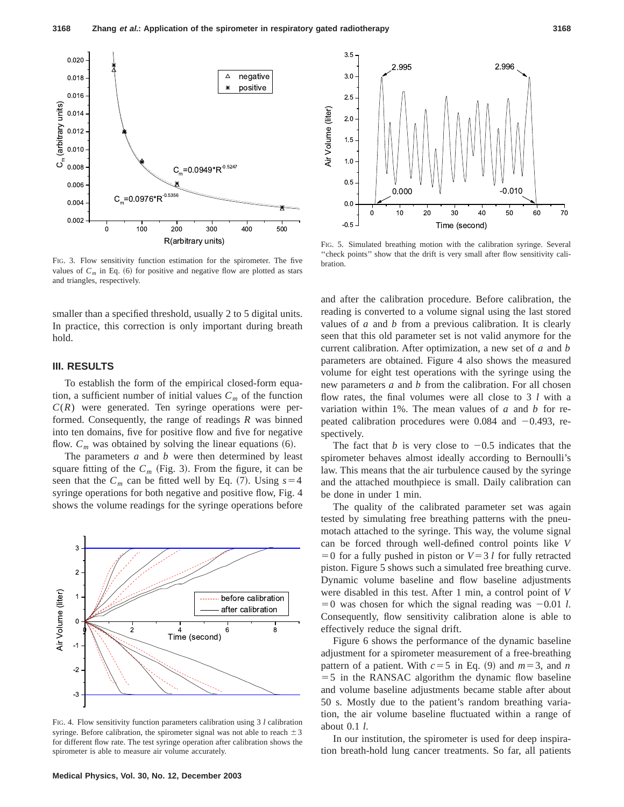

FIG. 3. Flow sensitivity function estimation for the spirometer. The five values of  $C_m$  in Eq.  $(6)$  for positive and negative flow are plotted as stars and triangles, respectively.

smaller than a specified threshold, usually 2 to 5 digital units. In practice, this correction is only important during breath hold.

## **III. RESULTS**

To establish the form of the empirical closed-form equation, a sufficient number of initial values  $C_m$  of the function  $C(R)$  were generated. Ten syringe operations were performed. Consequently, the range of readings *R* was binned into ten domains, five for positive flow and five for negative flow.  $C_m$  was obtained by solving the linear equations  $(6)$ .

The parameters *a* and *b* were then determined by least square fitting of the  $C_m$  (Fig. 3). From the figure, it can be seen that the  $C_m$  can be fitted well by Eq. (7). Using  $s=4$ syringe operations for both negative and positive flow, Fig. 4 shows the volume readings for the syringe operations before



FIG. 4. Flow sensitivity function parameters calibration using 3 *l* calibration syringe. Before calibration, the spirometer signal was not able to reach  $\pm 3$ for different flow rate. The test syringe operation after calibration shows the spirometer is able to measure air volume accurately.



FIG. 5. Simulated breathing motion with the calibration syringe. Several ''check points'' show that the drift is very small after flow sensitivity calibration.

and after the calibration procedure. Before calibration, the reading is converted to a volume signal using the last stored values of *a* and *b* from a previous calibration. It is clearly seen that this old parameter set is not valid anymore for the current calibration. After optimization, a new set of *a* and *b* parameters are obtained. Figure 4 also shows the measured volume for eight test operations with the syringe using the new parameters *a* and *b* from the calibration. For all chosen flow rates, the final volumes were all close to 3 *l* with a variation within 1%. The mean values of *a* and *b* for repeated calibration procedures were 0.084 and  $-0.493$ , respectively.

The fact that *b* is very close to  $-0.5$  indicates that the spirometer behaves almost ideally according to Bernoulli's law. This means that the air turbulence caused by the syringe and the attached mouthpiece is small. Daily calibration can be done in under 1 min.

The quality of the calibrated parameter set was again tested by simulating free breathing patterns with the pneumotach attached to the syringe. This way, the volume signal can be forced through well-defined control points like *V*  $=0$  for a fully pushed in piston or  $V=3 l$  for fully retracted piston. Figure 5 shows such a simulated free breathing curve. Dynamic volume baseline and flow baseline adjustments were disabled in this test. After 1 min, a control point of *V*  $=0$  was chosen for which the signal reading was  $-0.01$  *l*. Consequently, flow sensitivity calibration alone is able to effectively reduce the signal drift.

Figure 6 shows the performance of the dynamic baseline adjustment for a spirometer measurement of a free-breathing pattern of a patient. With  $c=5$  in Eq. (9) and  $m=3$ , and *n*  $=$  5 in the RANSAC algorithm the dynamic flow baseline and volume baseline adjustments became stable after about 50 s. Mostly due to the patient's random breathing variation, the air volume baseline fluctuated within a range of about 0.1 *l*.

In our institution, the spirometer is used for deep inspiration breath-hold lung cancer treatments. So far, all patients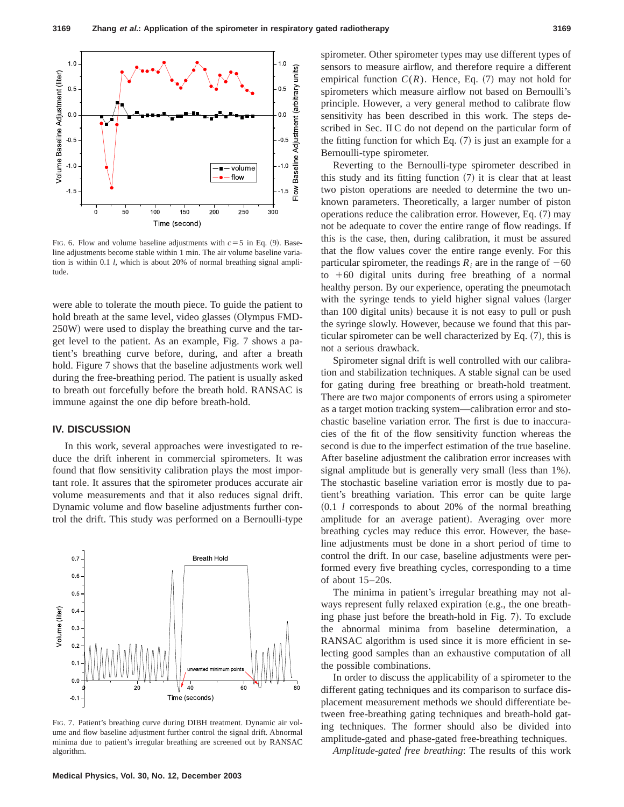

FIG. 6. Flow and volume baseline adjustments with  $c=5$  in Eq. (9). Baseline adjustments become stable within 1 min. The air volume baseline variation is within 0.1 *l*, which is about 20% of normal breathing signal amplitude.

were able to tolerate the mouth piece. To guide the patient to hold breath at the same level, video glasses (Olympus FMD-250W) were used to display the breathing curve and the target level to the patient. As an example, Fig. 7 shows a patient's breathing curve before, during, and after a breath hold. Figure 7 shows that the baseline adjustments work well during the free-breathing period. The patient is usually asked to breath out forcefully before the breath hold. RANSAC is immune against the one dip before breath-hold.

## **IV. DISCUSSION**

In this work, several approaches were investigated to reduce the drift inherent in commercial spirometers. It was found that flow sensitivity calibration plays the most important role. It assures that the spirometer produces accurate air volume measurements and that it also reduces signal drift. Dynamic volume and flow baseline adjustments further control the drift. This study was performed on a Bernoulli-type



FIG. 7. Patient's breathing curve during DIBH treatment. Dynamic air volume and flow baseline adjustment further control the signal drift. Abnormal minima due to patient's irregular breathing are screened out by RANSAC algorithm.

spirometer. Other spirometer types may use different types of sensors to measure airflow, and therefore require a different empirical function  $C(R)$ . Hence, Eq.  $(7)$  may not hold for spirometers which measure airflow not based on Bernoulli's principle. However, a very general method to calibrate flow sensitivity has been described in this work. The steps described in Sec. II C do not depend on the particular form of the fitting function for which Eq.  $(7)$  is just an example for a Bernoulli-type spirometer.

Reverting to the Bernoulli-type spirometer described in this study and its fitting function  $(7)$  it is clear that at least two piston operations are needed to determine the two unknown parameters. Theoretically, a larger number of piston operations reduce the calibration error. However, Eq.  $(7)$  may not be adequate to cover the entire range of flow readings. If this is the case, then, during calibration, it must be assured that the flow values cover the entire range evenly. For this particular spirometer, the readings  $R_i$  are in the range of  $-60$ to  $+60$  digital units during free breathing of a normal healthy person. By our experience, operating the pneumotach with the syringe tends to yield higher signal values (larger than 100 digital units) because it is not easy to pull or push the syringe slowly. However, because we found that this particular spirometer can be well characterized by Eq.  $(7)$ , this is not a serious drawback.

Spirometer signal drift is well controlled with our calibration and stabilization techniques. A stable signal can be used for gating during free breathing or breath-hold treatment. There are two major components of errors using a spirometer as a target motion tracking system—calibration error and stochastic baseline variation error. The first is due to inaccuracies of the fit of the flow sensitivity function whereas the second is due to the imperfect estimation of the true baseline. After baseline adjustment the calibration error increases with signal amplitude but is generally very small (less than  $1\%$ ). The stochastic baseline variation error is mostly due to patient's breathing variation. This error can be quite large ~0.1 *l* corresponds to about 20% of the normal breathing amplitude for an average patient). Averaging over more breathing cycles may reduce this error. However, the baseline adjustments must be done in a short period of time to control the drift. In our case, baseline adjustments were performed every five breathing cycles, corresponding to a time of about 15–20s.

The minima in patient's irregular breathing may not always represent fully relaxed expiration (e.g., the one breathing phase just before the breath-hold in Fig.  $7$ ). To exclude the abnormal minima from baseline determination, a RANSAC algorithm is used since it is more efficient in selecting good samples than an exhaustive computation of all the possible combinations.

In order to discuss the applicability of a spirometer to the different gating techniques and its comparison to surface displacement measurement methods we should differentiate between free-breathing gating techniques and breath-hold gating techniques. The former should also be divided into amplitude-gated and phase-gated free-breathing techniques.

*Amplitude-gated free breathing*: The results of this work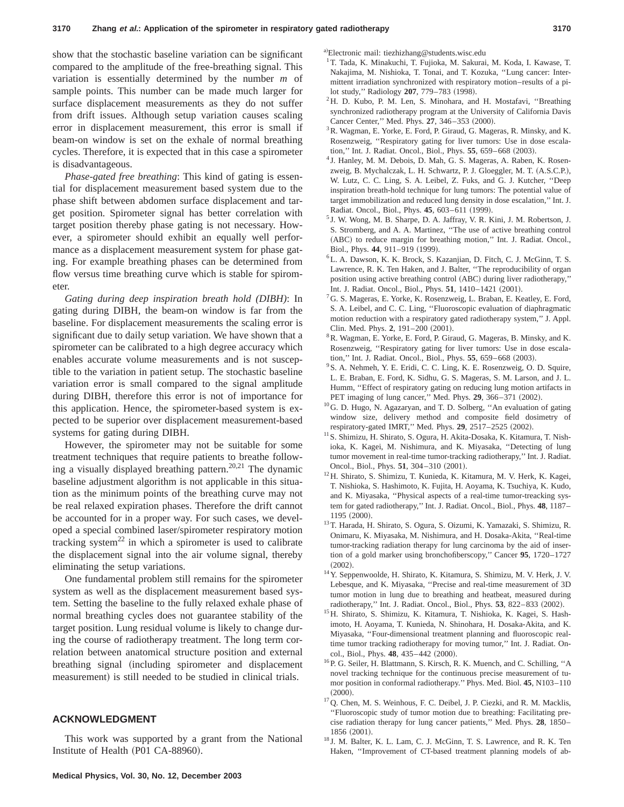show that the stochastic baseline variation can be significant compared to the amplitude of the free-breathing signal. This variation is essentially determined by the number *m* of sample points. This number can be made much larger for surface displacement measurements as they do not suffer from drift issues. Although setup variation causes scaling error in displacement measurement, this error is small if beam-on window is set on the exhale of normal breathing cycles. Therefore, it is expected that in this case a spirometer is disadvantageous.

*Phase-gated free breathing*: This kind of gating is essential for displacement measurement based system due to the phase shift between abdomen surface displacement and target position. Spirometer signal has better correlation with target position thereby phase gating is not necessary. However, a spirometer should exhibit an equally well performance as a displacement measurement system for phase gating. For example breathing phases can be determined from flow versus time breathing curve which is stable for spirometer.

*Gating during deep inspiration breath hold (DIBH)*: In gating during DIBH, the beam-on window is far from the baseline. For displacement measurements the scaling error is significant due to daily setup variation. We have shown that a spirometer can be calibrated to a high degree accuracy which enables accurate volume measurements and is not susceptible to the variation in patient setup. The stochastic baseline variation error is small compared to the signal amplitude during DIBH, therefore this error is not of importance for this application. Hence, the spirometer-based system is expected to be superior over displacement measurement-based systems for gating during DIBH.

However, the spirometer may not be suitable for some treatment techniques that require patients to breathe following a visually displayed breathing pattern.<sup>20,21</sup> The dynamic baseline adjustment algorithm is not applicable in this situation as the minimum points of the breathing curve may not be real relaxed expiration phases. Therefore the drift cannot be accounted for in a proper way. For such cases, we developed a special combined laser/spirometer respiratory motion tracking system $^{22}$  in which a spirometer is used to calibrate the displacement signal into the air volume signal, thereby eliminating the setup variations.

One fundamental problem still remains for the spirometer system as well as the displacement measurement based system. Setting the baseline to the fully relaxed exhale phase of normal breathing cycles does not guarantee stability of the target position. Lung residual volume is likely to change during the course of radiotherapy treatment. The long term correlation between anatomical structure position and external breathing signal (including spirometer and displacement measurement) is still needed to be studied in clinical trials.

## **ACKNOWLEDGMENT**

This work was supported by a grant from the National Institute of Health (P01 CA-88960).

a)Electronic mail: tiezhizhang@students.wisc.edu

- $^{1}$  T. Tada, K. Minakuchi, T. Fujioka, M. Sakurai, M. Koda, I. Kawase, T. Nakajima, M. Nishioka, T. Tonai, and T. Kozuka, ''Lung cancer: Intermittent irradiation synchronized with respiratory motion–results of a pilot study," Radiology 207, 779-783 (1998).
- 2H. D. Kubo, P. M. Len, S. Minohara, and H. Mostafavi, ''Breathing synchronized radiotherapy program at the University of California Davis Cancer Center," Med. Phys. 27, 346-353 (2000).
- <sup>3</sup>R. Wagman, E. Yorke, E. Ford, P. Giraud, G. Mageras, R. Minsky, and K. Rosenzweig, ''Respiratory gating for liver tumors: Use in dose escalation," Int. J. Radiat. Oncol., Biol., Phys. 55, 659-668 (2003).
- <sup>4</sup> J. Hanley, M. M. Debois, D. Mah, G. S. Mageras, A. Raben, K. Rosenzweig, B. Mychalczak, L. H. Schwartz, P. J. Gloeggler, M. T. (A.S.C.P.), W. Lutz, C. C. Ling, S. A. Leibel, Z. Fuks, and G. J. Kutcher, ''Deep inspiration breath-hold technique for lung tumors: The potential value of target immobilization and reduced lung density in dose escalation,'' Int. J. Radiat. Oncol., Biol., Phys. 45, 603-611 (1999).
- <sup>5</sup> J. W. Wong, M. B. Sharpe, D. A. Jaffray, V. R. Kini, J. M. Robertson, J. S. Stromberg, and A. A. Martinez, ''The use of active breathing control (ABC) to reduce margin for breathing motion," Int. J. Radiat. Oncol., Biol., Phys. 44, 911-919 (1999).
- 6L. A. Dawson, K. K. Brock, S. Kazanjian, D. Fitch, C. J. McGinn, T. S. Lawrence, R. K. Ten Haken, and J. Balter, ''The reproducibility of organ position using active breathing control (ABC) during liver radiotherapy," Int. J. Radiat. Oncol., Biol., Phys. 51, 1410-1421 (2001).
- <sup>7</sup>G. S. Mageras, E. Yorke, K. Rosenzweig, L. Braban, E. Keatley, E. Ford, S. A. Leibel, and C. C. Ling, ''Fluoroscopic evaluation of diaphragmatic motion reduction with a respiratory gated radiotherapy system,'' J. Appl. Clin. Med. Phys. 2, 191-200 (2001).
- 8R. Wagman, E. Yorke, E. Ford, P. Giraud, G. Mageras, B. Minsky, and K. Rosenzweig, ''Respiratory gating for liver tumors: Use in dose escalation," Int. J. Radiat. Oncol., Biol., Phys. 55, 659-668 (2003).
- <sup>9</sup>S. A. Nehmeh, Y. E. Eridi, C. C. Ling, K. E. Rosenzweig, O. D. Squire, L. E. Braban, E. Ford, K. Sidhu, G. S. Mageras, S. M. Larson, and J. L. Humm, ''Effect of respiratory gating on reducing lung motion artifacts in PET imaging of lung cancer," Med. Phys. **29**, 366-371 (2002).
- <sup>10</sup>G. D. Hugo, N. Agazaryan, and T. D. Solberg, "An evaluation of gating window size, delivery method and composite field dosimetry of respiratory-gated IMRT," Med. Phys. 29, 2517-2525 (2002).
- 11S. Shimizu, H. Shirato, S. Ogura, H. Akita-Dosaka, K. Kitamura, T. Nishioka, K. Kagei, M. Nishimura, and K. Miyasaka, ''Detecting of lung tumor movement in real-time tumor-tracking radiotherapy,'' Int. J. Radiat. Oncol., Biol., Phys. 51, 304-310 (2001).
- $^{12}$ H. Shirato, S. Shimizu, T. Kunieda, K. Kitamura, M. V. Herk, K. Kagei, T. Nishioka, S. Hashimoto, K. Fujita, H. Aoyama, K. Tsuchiya, K. Kudo, and K. Miyasaka, ''Physical aspects of a real-time tumor-treacking system for gated radiotherapy,'' Int. J. Radiat. Oncol., Biol., Phys. **48**, 1187– 1195 (2000).
- 13T. Harada, H. Shirato, S. Ogura, S. Oizumi, K. Yamazaki, S. Shimizu, R. Onimaru, K. Miyasaka, M. Nishimura, and H. Dosaka-Akita, ''Real-time tumor-tracking radiation therapy for lung carcinoma by the aid of insertion of a gold marker using bronchofiberscopy,'' Cancer **95**, 1720–1727  $(2002).$
- <sup>14</sup>Y. Seppenwoolde, H. Shirato, K. Kitamura, S. Shimizu, M. V. Herk, J. V. Lebesque, and K. Miyasaka, ''Precise and real-time measurement of 3D tumor motion in lung due to breathing and heatbeat, measured during radiotherapy," Int. J. Radiat. Oncol., Biol., Phys. 53, 822-833 (2002).
- <sup>15</sup>H. Shirato, S. Shimizu, K. Kitamura, T. Nishioka, K. Kagei, S. Hashimoto, H. Aoyama, T. Kunieda, N. Shinohara, H. Dosaka-Akita, and K. Miyasaka, ''Four-dimensional treatment planning and fluoroscopic realtime tumor tracking radiotherapy for moving tumor,'' Int. J. Radiat. Oncol., Biol., Phys. 48, 435-442 (2000).
- <sup>16</sup>P. G. Seiler, H. Blattmann, S. Kirsch, R. K. Muench, and C. Schilling, "A novel tracking technique for the continuous precise measurement of tumor position in conformal radiotherapy.'' Phys. Med. Biol. **45**, N103–110  $(2000).$
- $17$ Q. Chen, M. S. Weinhous, F. C. Deibel, J. P. Ciezki, and R. M. Macklis, ''Fluoroscopic study of tumor motion due to breathing: Facilitating precise radiation therapy for lung cancer patients,'' Med. Phys. **28**, 1850– 1856 (2001).
- <sup>18</sup> J. M. Balter, K. L. Lam, C. J. McGinn, T. S. Lawrence, and R. K. Ten Haken, ''Improvement of CT-based treatment planning models of ab-